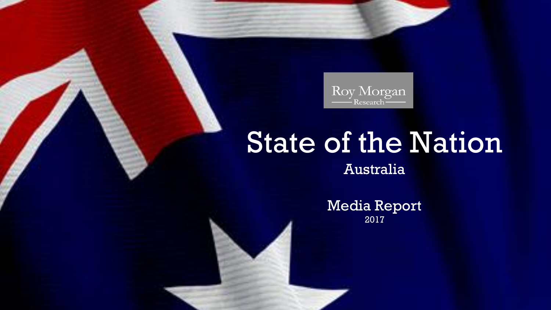

## State of the Nation

Australia

Media Report 2017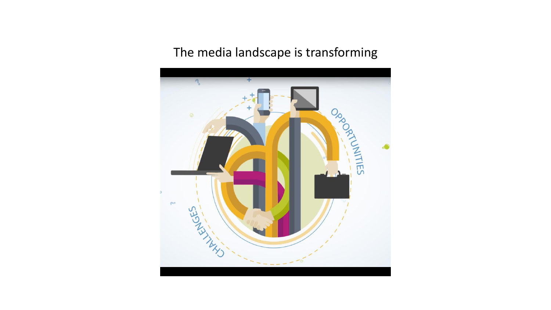## The media landscape is transforming

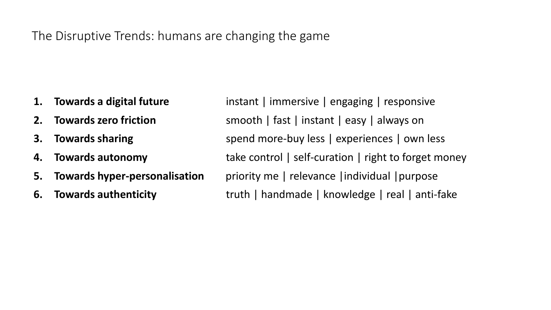## The Disruptive Trends: humans are changing the game

- 
- 
- 
- 
- 
- 

**1. Towards a digital future** instant | immersive | engaging | responsive **2. Towards zero friction** smooth | fast | instant | easy | always on **3. Towards sharing** spend more-buy less | experiences | own less **4. Towards autonomy** take control | self-curation | right to forget money **5. Towards hyper-personalisation** priority me | relevance | individual | purpose **6. Towards authenticity** truth | handmade | knowledge | real | anti-fake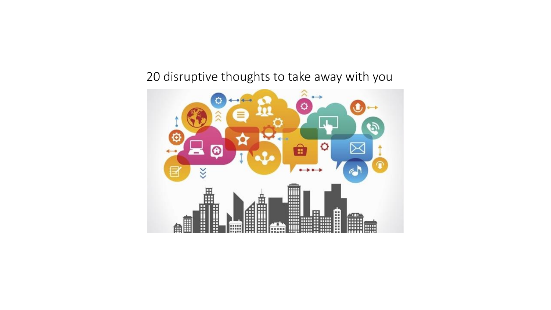## 20 disruptive thoughts to take away with you

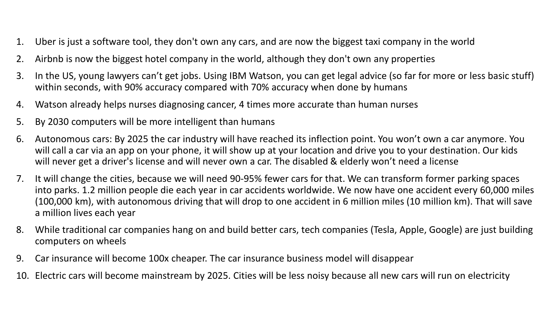- 1. Uber is just a software tool, they don't own any cars, and are now the biggest taxi company in the world
- 2. Airbnb is now the biggest hotel company in the world, although they don't own any properties
- 3. In the US, young lawyers can't get jobs. Using IBM Watson, you can get legal advice (so far for more or less basic stuff) within seconds, with 90% accuracy compared with 70% accuracy when done by humans
- 4. Watson already helps nurses diagnosing cancer, 4 times more accurate than human nurses
- 5. By 2030 computers will be more intelligent than humans
- 6. Autonomous cars: By 2025 the car industry will have reached its inflection point. You won't own a car anymore. You will call a car via an app on your phone, it will show up at your location and drive you to your destination. Our kids will never get a driver's license and will never own a car. The disabled & elderly won't need a license
- 7. It will change the cities, because we will need 90-95% fewer cars for that. We can transform former parking spaces into parks. 1.2 million people die each year in car accidents worldwide. We now have one accident every 60,000 miles (100,000 km), with autonomous driving that will drop to one accident in 6 million miles (10 million km). That will save a million lives each year
- 8. While traditional car companies hang on and build better cars, tech companies (Tesla, Apple, Google) are just building computers on wheels
- 9. Car insurance will become 100x cheaper. The car insurance business model will disappear
- 10. Electric cars will become mainstream by 2025. Cities will be less noisy because all new cars will run on electricity